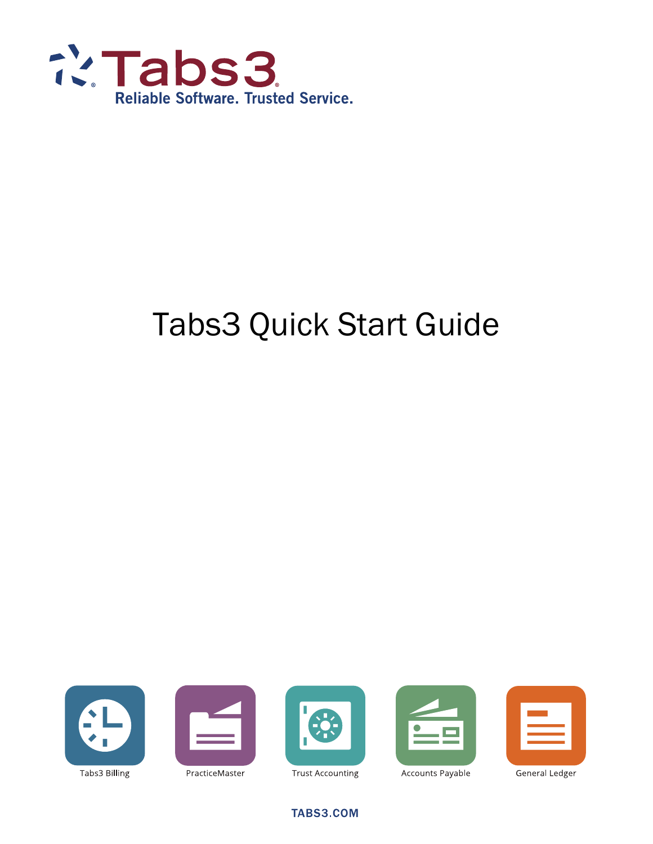

# Tabs3 Quick Start Guide





PracticeMaster





Accounts Payable

General Ledger

**TABS3.COM** 

**Trust Accounting**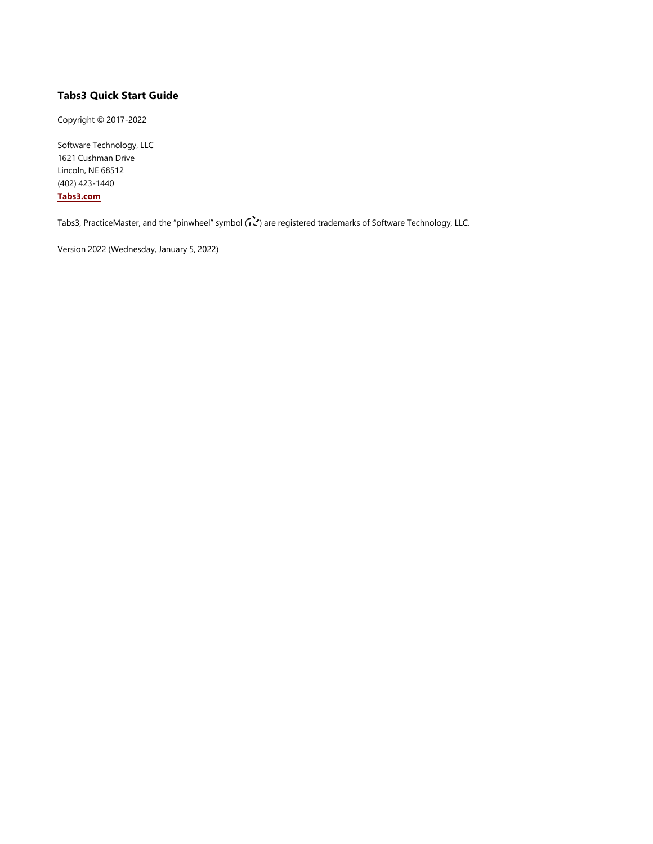#### **Tabs3 Quick Start Guide**

Copyright © 2017-2022

Software Technology, LLC 1621 Cushman Drive Lincoln, NE 68512 (402) 423-1440 **[Tabs3.com](http://tabs3.com/)**

Tabs3, PracticeMaster, and the "pinwheel" symbol ( ) are registered trademarks of Software Technology, LLC.

Version 2022 (Wednesday, January 5, 2022)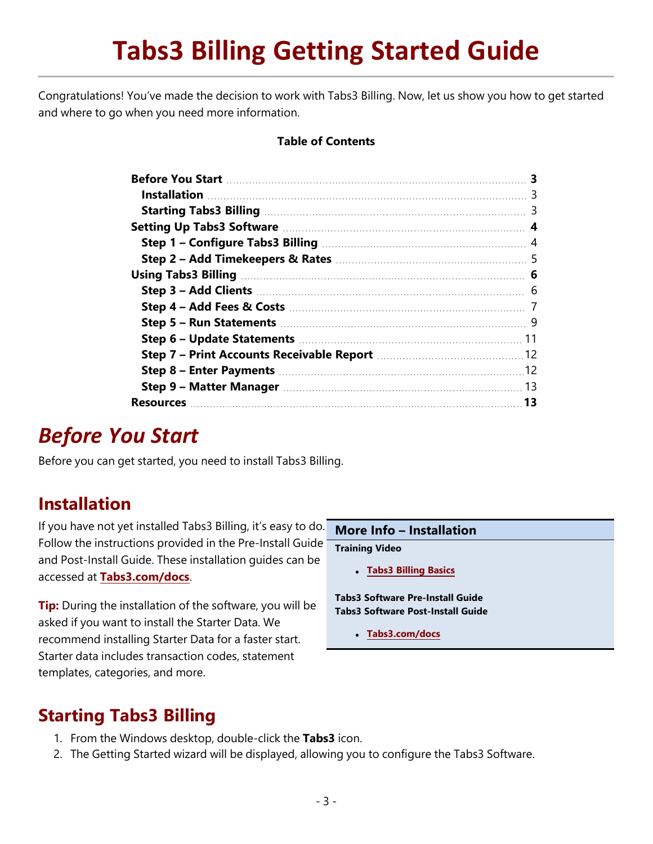# **Tabs3 Billing Getting Started Guide**

Congratulations! You've made the decision to work with Tabs3 Billing. Now, let us show you how to get started and where to go when you need more information.

#### **Table of Contents**

| 13 |
|----|
|    |

## <span id="page-2-0"></span>*Before You Start*

Before you can get started, you need to install Tabs3 Billing.

### <span id="page-2-1"></span>**Installation**

If you have not yet installed Tabs3 Billing, it's easy to do. Follow the instructions provided in the Pre-Install Guide and Post-Install Guide. These installation guides can be accessed at **[Tabs3.com/docs](https://www.tabs3.com/support/docs.html)**.

**Tip:** During the installation of the software, you will be asked if you want to install the Starter Data. We recommend installing Starter Data for a faster start. Starter data includes transaction codes, statement templates, categories, and more.

**More Info – Installation**

**Training Video**

<sup>l</sup> **Tabs3 [Billing](https://www.tabs3.com/t3overviewvideo) Basics**

**Tabs3 Software Pre-Install Guide Tabs3 Software Post-Install Guide**

<sup>l</sup> **[Tabs3.com/docs](https://www.tabs3.com/support/docs.html)**

### <span id="page-2-2"></span>**Starting Tabs3 Billing**

- 1. From the Windows desktop, double-click the **Tabs3** icon.
- 2. The Getting Started wizard will be displayed, allowing you to configure the Tabs3 Software.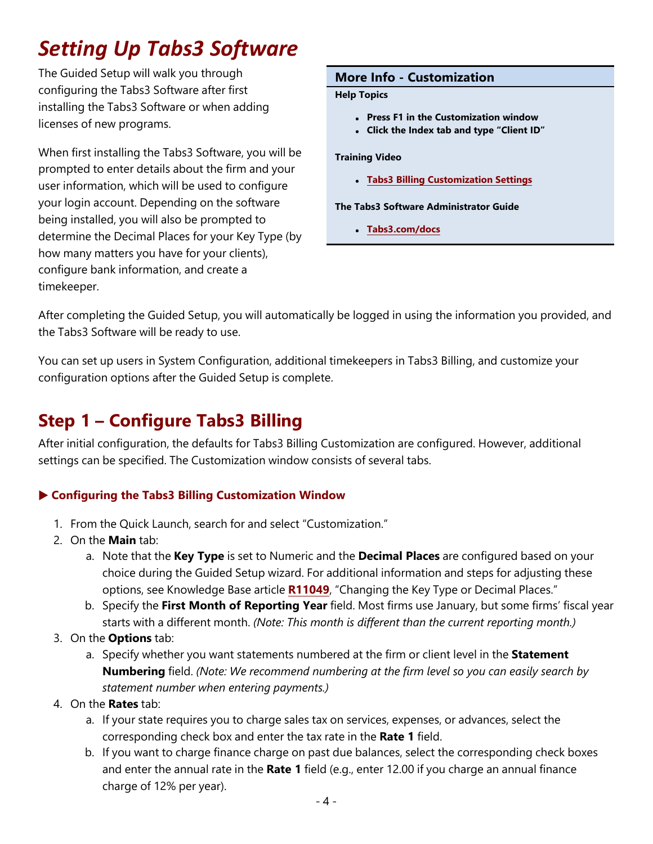## <span id="page-3-0"></span>*Setting Up Tabs3 Software*

The Guided Setup will walk you through configuring the Tabs3 Software after first installing the Tabs3 Software or when adding licenses of new programs.

When first installing the Tabs3 Software, you will be prompted to enter details about the firm and your user information, which will be used to configure your login account. Depending on the software being installed, you will also be prompted to determine the Decimal Places for your Key Type (by how many matters you have for your clients), configure bank information, and create a timekeeper.

#### **More Info - Customization**

#### **Help Topics**

- <sup>l</sup> **Press F1 in the Customization window**
- <sup>l</sup> **Click the Index tab and type "Client ID"**

#### **Training Video**

<sup>l</sup> **Tabs3 Billing [Customization](https://www.tabs3.com/t3customvideo) Settings**

**The Tabs3 Software Administrator Guide**

<sup>l</sup> **[Tabs3.com/docs](https://www.tabs3.com/support/docs.html)**

After completing the Guided Setup, you will automatically be logged in using the information you provided, and the Tabs3 Software will be ready to use.

You can set up users in System Configuration, additional timekeepers in Tabs3 Billing, and customize your configuration options after the Guided Setup is complete.

## <span id="page-3-1"></span>**Step 1 – Configure Tabs3 Billing**

After initial configuration, the defaults for Tabs3 Billing Customization are configured. However, additional settings can be specified. The Customization window consists of several tabs.

#### ▶ **Configuring the Tabs3 Billing Customization Window**

- 1. From the Quick Launch, search for and select "Customization."
- 2. On the **Main** tab:
	- a. Note that the **Key Type** is set to Numeric and the **Decimal Places** are configured based on your choice during the Guided Setup wizard. For additional information and steps for adjusting these options, see Knowledge Base article **[R11049](https://support.tabs3.com/main/r11049.htm)**, "Changing the Key Type or Decimal Places."
	- b. Specify the **First Month of Reporting Year** field. Most firms use January, but some firms' fiscal year starts with a different month. *(Note: This month is different than the current reporting month.)*
- 3. On the **Options** tab:
	- a. Specify whether you want statements numbered at the firm or client level in the **Statement Numbering** field. *(Note: We recommend numbering at the firm level so you can easily search by statement number when entering payments.)*
- 4. On the **Rates** tab:
	- a. If your state requires you to charge sales tax on services, expenses, or advances, select the corresponding check box and enter the tax rate in the **Rate 1** field.
	- b. If you want to charge finance charge on past due balances, select the corresponding check boxes and enter the annual rate in the **Rate 1** field (e.g., enter 12.00 if you charge an annual finance charge of 12% per year).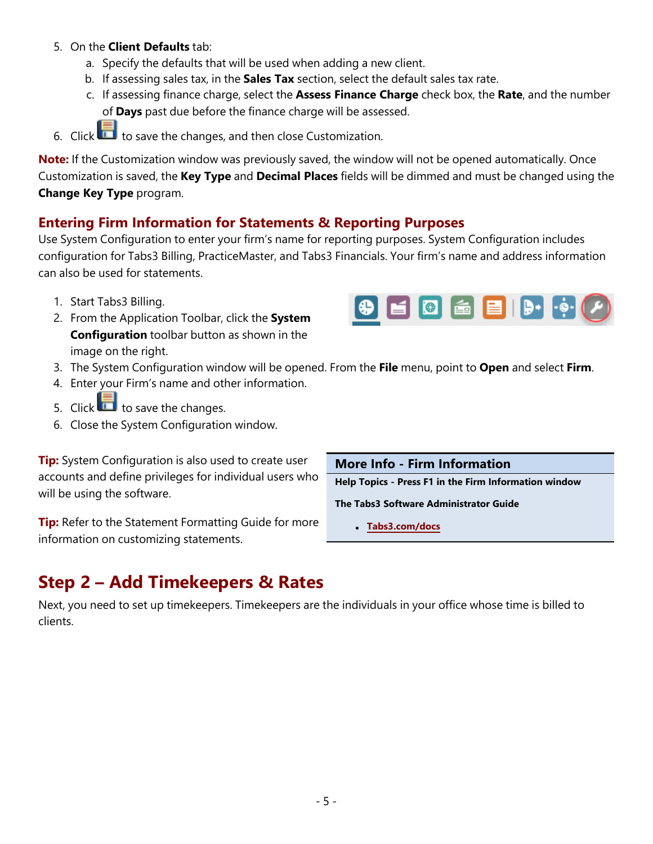#### 5. On the **Client Defaults** tab:

- a. Specify the defaults that will be used when adding a new client.
- b. If assessing sales tax, in the **Sales Tax** section, select the default sales tax rate.
- c. If assessing finance charge, select the **Assess Finance Charge** check box, the **Rate**, and the number of **Days** past due before the finance charge will be assessed.
- 6. Click  $\ddot{\bullet}$  to save the changes, and then close Customization.

**Note:** If the Customization window was previously saved, the window will not be opened automatically. Once Customization is saved, the **Key Type** and **Decimal Places** fields will be dimmed and must be changed using the **Change Key Type** program.

#### **Entering Firm Information for Statements & Reporting Purposes**

Use System Configuration to enter your firm's name for reporting purposes. System Configuration includes configuration for Tabs3 Billing, PracticeMaster, and Tabs3 Financials. Your firm's name and address information can also be used for statements.

- 1. Start Tabs3 Billing.
- 2. From the Application Toolbar, click the **System Configuration** toolbar button as shown in the image on the right.



- 3. The System Configuration window will be opened. From the **File** menu, point to **Open** and select **Firm**.
- 4. Enter your Firm's name and other information.
- 5. Click  $\Box$  to save the changes.
- 6. Close the System Configuration window.

**Tip:** System Configuration is also used to create user accounts and define privileges for individual users who will be using the software.

**Tip:** Refer to the Statement Formatting Guide for more information on customizing statements.

**More Info - Firm Information**

**Help Topics - Press F1 in the Firm Information window**

**The Tabs3 Software Administrator Guide**

<sup>l</sup> **[Tabs3.com/docs](https://www.tabs3.com/support/docs.html)**

## <span id="page-4-0"></span>**Step 2 – Add Timekeepers & Rates**

Next, you need to set up timekeepers. Timekeepers are the individuals in your office whose time is billed to clients.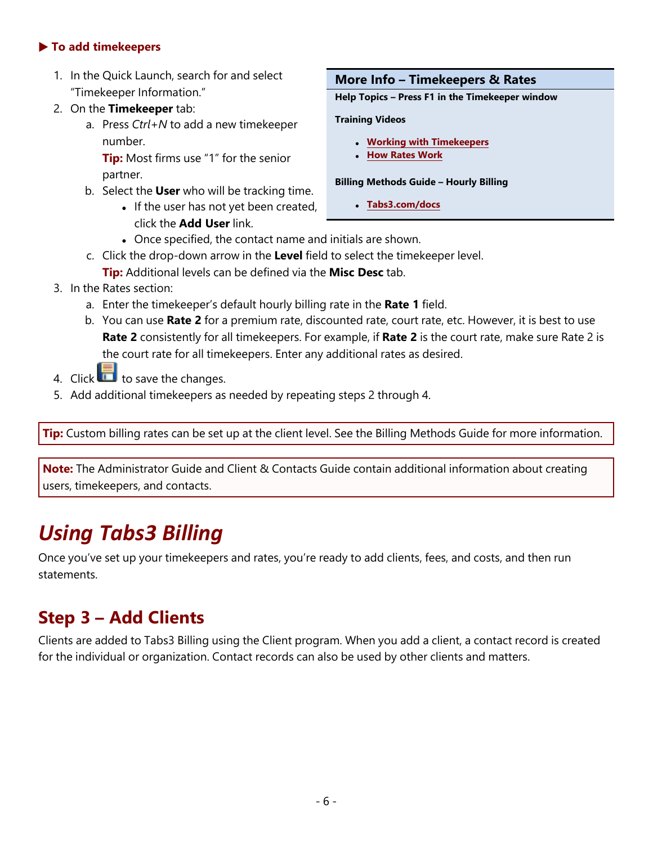#### ▶ **To add timekeepers**

- 1. In the Quick Launch, search for and select "Timekeeper Information."
- 2. On the **Timekeeper** tab:
	- a. Press *Ctrl+N* to add a new timekeeper number.

**Tip:** Most firms use "1" for the senior partner.

- b. Select the **User** who will be tracking time.
	- If the user has not yet been created, click the **Add User** link.

#### **More Info – Timekeepers & Rates**

**Help Topics – Press F1 in the Timekeeper window**

#### **Training Videos**

- <sup>l</sup> **Working with [Timekeepers](https://www.tabs3.com/t3timekeepervideo)**
- <sup>l</sup> **How [Rates](https://www.tabs3.com/t3ratesvideo) Work**

#### **Billing Methods Guide – Hourly Billing**

- <sup>l</sup> **[Tabs3.com/docs](https://www.tabs3.com/support/docs.html)**
- Once specified, the contact name and initials are shown.
- c. Click the drop-down arrow in the **Level** field to select the timekeeper level. **Tip:** Additional levels can be defined via the **Misc Desc** tab.
- 3. In the Rates section:
	- a. Enter the timekeeper's default hourly billing rate in the **Rate 1** field.
	- b. You can use **Rate 2** for a premium rate, discounted rate, court rate, etc. However, it is best to use **Rate 2** consistently for all timekeepers. For example, if **Rate 2** is the court rate, make sure Rate 2 is the court rate for all timekeepers. Enter any additional rates as desired.
- 4. Click  $\Box$  to save the changes.
- 5. Add additional timekeepers as needed by repeating steps 2 through 4.

**Tip:** Custom billing rates can be set up at the client level. See the Billing Methods Guide for more information.

**Note:** The Administrator Guide and Client & Contacts Guide contain additional information about creating users, timekeepers, and contacts.

## <span id="page-5-0"></span>*Using Tabs3 Billing*

Once you've set up your timekeepers and rates, you're ready to add clients, fees, and costs, and then run statements.

## <span id="page-5-1"></span>**Step 3 – Add Clients**

Clients are added to Tabs3 Billing using the Client program. When you add a client, a contact record is created for the individual or organization. Contact records can also be used by other clients and matters.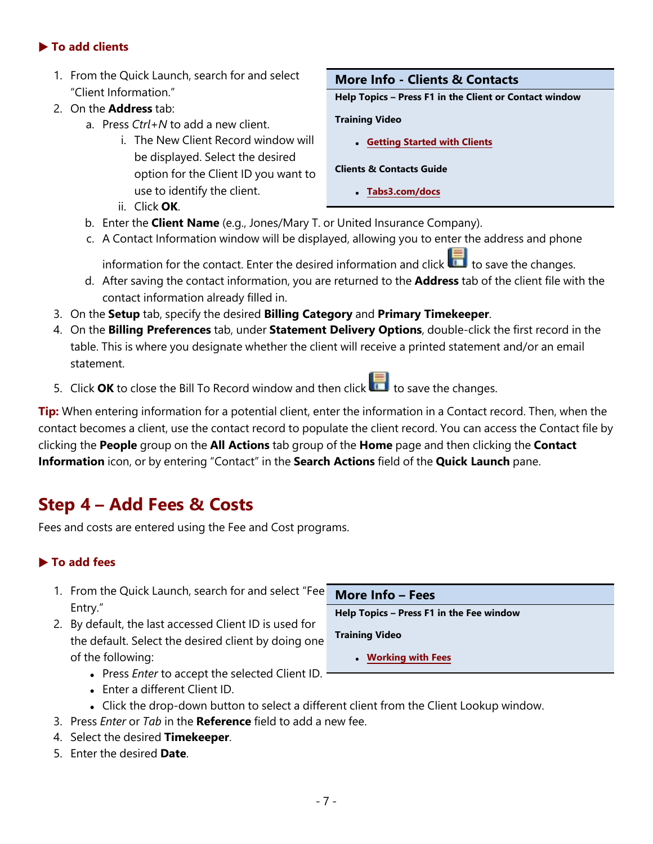#### ▶ **To add clients**

- 1. From the Quick Launch, search for and select "Client Information."
- 2. On the **Address** tab:
	- a. Press *Ctrl+N* to add a new client.
		- i. The New Client Record window will be displayed. Select the desired option for the Client ID you want to use to identify the client.
		- ii. Click **OK**.

#### **More Info - Clients & Contacts**

**Help Topics – Press F1 in the Client or Contact window**

#### **Training Video**

<sup>l</sup> **[Getting](https://www.tabs3.com/t3clientvideo) Started with Clients**

#### **Clients & Contacts Guide**

- <sup>l</sup> **[Tabs3.com/docs](https://www.tabs3.com/support/docs.html)**
- b. Enter the **Client Name** (e.g., Jones/Mary T. or United Insurance Company).
- c. A Contact Information window will be displayed, allowing you to enter the address and phone

information for the contact. Enter the desired information and click to save the changes.

- d. After saving the contact information, you are returned to the **Address** tab of the client file with the contact information already filled in.
- 3. On the **Setup** tab, specify the desired **Billing Category** and **Primary Timekeeper**.
- 4. On the **Billing Preferences** tab, under **Statement Delivery Options**, double-click the first record in the table. This is where you designate whether the client will receive a printed statement and/or an email statement.
- 5. Click **OK** to close the Bill To Record window and then click to save the changes.

**Tip:** When entering information for a potential client, enter the information in a Contact record. Then, when the contact becomes a client, use the contact record to populate the client record. You can access the Contact file by clicking the **People** group on the **All Actions** tab group of the **Home** page and then clicking the **Contact Information** icon, or by entering "Contact" in the **Search Actions** field of the **Quick Launch** pane.

## <span id="page-6-0"></span>**Step 4 – Add Fees & Costs**

Fees and costs are entered using the Fee and Cost programs.

#### ▶ **To add fees**

- **More Info – Fees Help Topics – Press F1 in the Fee window Training Video** <sup>l</sup> **[Working](https://www.tabs3.com/t3feevideo) with Fees** 1. From the Quick Launch, search for and select "Fee Entry." 2. By default, the last accessed Client ID is used for the default. Select the desired client by doing one of the following: **.** Press *Enter* to accept the selected Client ID.
	- Enter a different Client ID.
	- Click the drop-down button to select a different client from the Client Lookup window.
- 3. Press *Enter* or *Tab* in the **Reference** field to add a new fee.
- 4. Select the desired **Timekeeper**.
- 5. Enter the desired **Date**.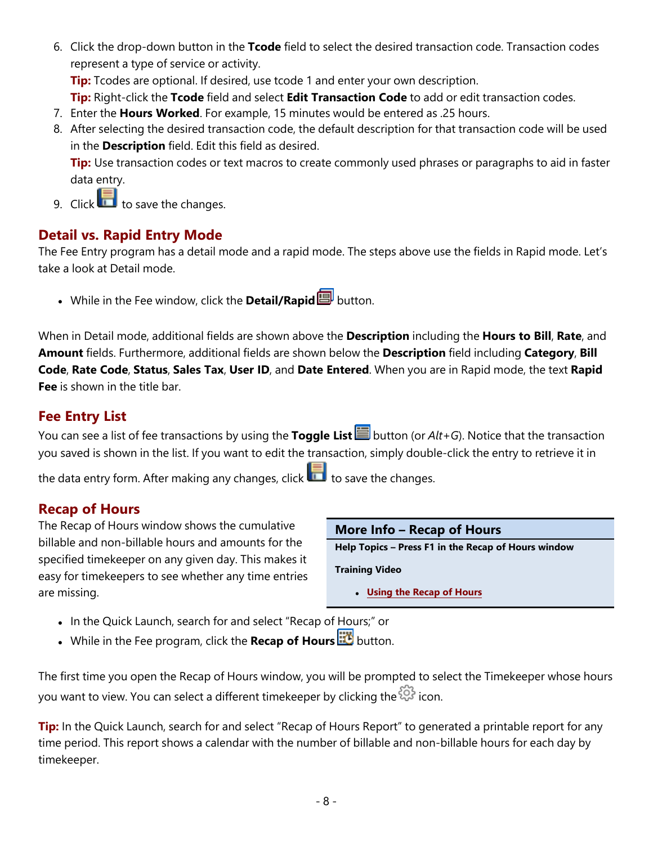6. Click the drop-down button in the **Tcode** field to select the desired transaction code. Transaction codes represent a type of service or activity.

**Tip:** Tcodes are optional. If desired, use tcode 1 and enter your own description.

**Tip:** Right-click the **Tcode** field and select **Edit Transaction Code** to add or edit transaction codes.

- 7. Enter the **Hours Worked**. For example, 15 minutes would be entered as .25 hours.
- 8. After selecting the desired transaction code, the default description for that transaction code will be used in the **Description** field. Edit this field as desired.

**Tip:** Use transaction codes or text macros to create commonly used phrases or paragraphs to aid in faster data entry.

9. Click  $\Box$  to save the changes.

#### **Detail vs. Rapid Entry Mode**

The Fee Entry program has a detail mode and a rapid mode. The steps above use the fields in Rapid mode. Let's take a look at Detail mode.

**.** While in the Fee window, click the **Detail/Rapid D** button.

When in Detail mode, additional fields are shown above the **Description** including the **Hours to Bill**, **Rate**, and **Amount** fields. Furthermore, additional fields are shown below the **Description** field including **Category**, **Bill Code**, **Rate Code**, **Status**, **Sales Tax**, **User ID**, and **Date Entered**. When you are in Rapid mode, the text **Rapid Fee** is shown in the title bar.

#### **Fee Entry List**

You can see a list of fee transactions by using the **Toggle List** button (or *Alt+G*). Notice that the transaction you saved is shown in the list. If you want to edit the transaction, simply double-click the entry to retrieve it in

the data entry form. After making any changes, click  $\Box$  to save the changes.

#### **Recap of Hours**

The Recap of Hours window shows the cumulative billable and non-billable hours and amounts for the specified timekeeper on any given day. This makes it easy for timekeepers to see whether any time entries are missing.

#### **More Info – Recap of Hours**

**Help Topics – Press F1 in the Recap of Hours window**

**Training Video**

- <sup>l</sup> **Using the [Recap](https://www.tabs3.com/recapvideo) of Hours**
- In the Quick Launch, search for and select "Recap of Hours;" or
- **.** While in the Fee program, click the **Recap of Hours EX** button.

The first time you open the Recap of Hours window, you will be prompted to select the Timekeeper whose hours you want to view. You can select a different timekeeper by clicking the  $\overleftrightarrow{\mathbb{G}}$  icon.

**Tip:** In the Quick Launch, search for and select "Recap of Hours Report" to generated a printable report for any time period. This report shows a calendar with the number of billable and non-billable hours for each day by timekeeper.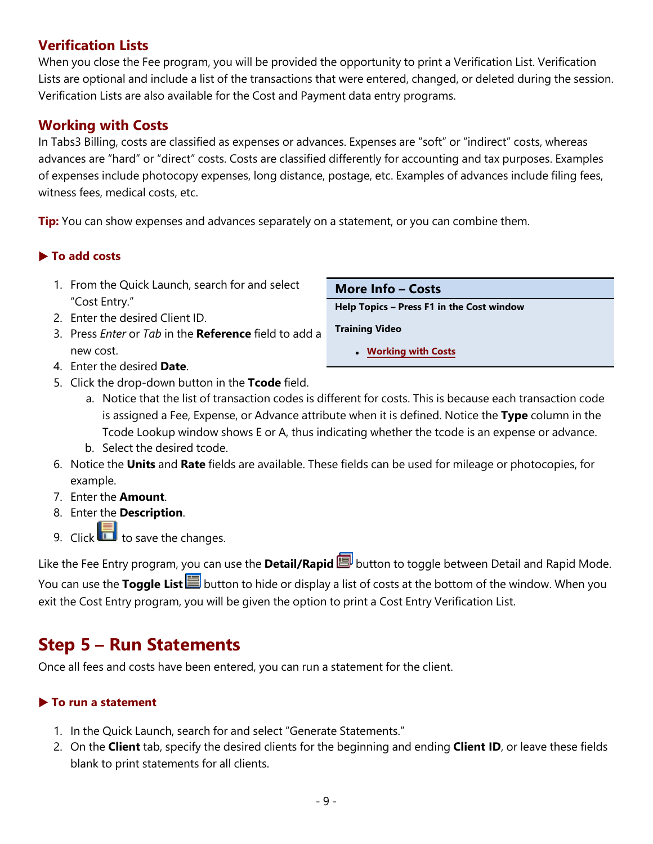#### **Verification Lists**

When you close the Fee program, you will be provided the opportunity to print a Verification List. Verification Lists are optional and include a list of the transactions that were entered, changed, or deleted during the session. Verification Lists are also available for the Cost and Payment data entry programs.

#### **Working with Costs**

In Tabs3 Billing, costs are classified as expenses or advances. Expenses are "soft" or "indirect" costs, whereas advances are "hard" or "direct" costs. Costs are classified differently for accounting and tax purposes. Examples of expenses include photocopy expenses, long distance, postage, etc. Examples of advances include filing fees, witness fees, medical costs, etc.

**Tip:** You can show expenses and advances separately on a statement, or you can combine them.

#### ▶ **To add costs**

- 1. From the Quick Launch, search for and select "Cost Entry."
- 2. Enter the desired Client ID.
- 3. Press *Enter* or *Tab* in the **Reference** field to add a new cost.
- 4. Enter the desired **Date**.
- 5. Click the drop-down button in the **Tcode** field.
	- a. Notice that the list of transaction codes is different for costs. This is because each transaction code is assigned a Fee, Expense, or Advance attribute when it is defined. Notice the **Type** column in the Tcode Lookup window shows E or A, thus indicating whether the tcode is an expense or advance.
	- b. Select the desired tcode.
- 6. Notice the **Units** and **Rate** fields are available. These fields can be used for mileage or photocopies, for example.
- 7. Enter the **Amount**.
- 8. Enter the **Description**.
- 9. Click to save the changes.

Like the Fee Entry program, you can use the **Detail/Rapid** button to toggle between Detail and Rapid Mode. You can use the **Toggle List B** button to hide or display a list of costs at the bottom of the window. When you exit the Cost Entry program, you will be given the option to print a Cost Entry Verification List.

## <span id="page-8-0"></span>**Step 5 – Run Statements**

Once all fees and costs have been entered, you can run a statement for the client.

#### ▶ **To run a statement**

- 1. In the Quick Launch, search for and select "Generate Statements."
- 2. On the **Client** tab, specify the desired clients for the beginning and ending **Client ID**, or leave these fields blank to print statements for all clients.

- 9 -

**More Info – Costs Help Topics – Press F1 in the Cost window**

**Training Video**

<sup>l</sup> **[Working](https://www.tabs3.com/t3costvideo) with Costs**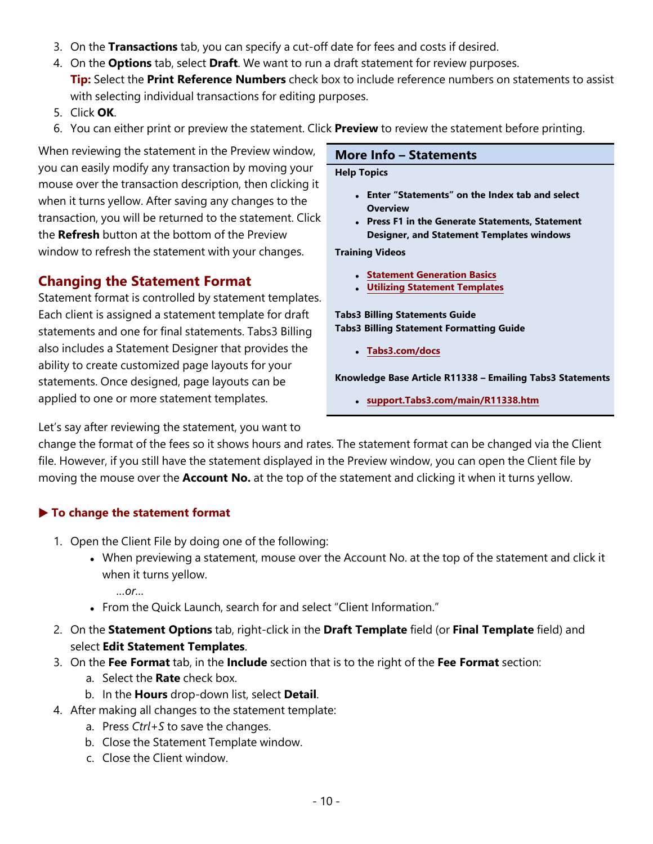- 3. On the **Transactions** tab, you can specify a cut-off date for fees and costs if desired.
- 4. On the **Options** tab, select **Draft**. We want to run a draft statement for review purposes.
- **Tip:** Select the **Print Reference Numbers** check box to include reference numbers on statements to assist with selecting individual transactions for editing purposes.
- 5. Click **OK**.
- 6. You can either print or preview the statement. Click **Preview** to review the statement before printing.

When reviewing the statement in the Preview window, you can easily modify any transaction by moving your mouse over the transaction description, then clicking it when it turns yellow. After saving any changes to the transaction, you will be returned to the statement. Click the **Refresh** button at the bottom of the Preview window to refresh the statement with your changes.

#### **Changing the Statement Format**

Statement format is controlled by statement templates. Each client is assigned a statement template for draft statements and one for final statements. Tabs3 Billing also includes a Statement Designer that provides the ability to create customized page layouts for your statements. Once designed, page layouts can be applied to one or more statement templates.

#### **More Info – Statements**

#### **Help Topics**

- <sup>l</sup> **Enter "Statements" on the Index tab and select Overview**
- <sup>l</sup> **Press F1 in the Generate Statements, Statement Designer, and Statement Templates windows**

**Training Videos**

- <sup>l</sup> **Statement [Generation](https://www.tabs3.com/t3stmtvideo) Basics**
- <sup>l</sup> **Utilizing [Statement](https://www.tabs3.com/t3stmttmplvideo) Templates**

**Tabs3 Billing Statements Guide Tabs3 Billing Statement Formatting Guide**

<sup>l</sup> **[Tabs3.com/docs](https://www.tabs3.com/support/docs.html)**

**Knowledge Base Article R11338 – Emailing Tabs3 Statements**

<sup>l</sup> **[support.Tabs3.com/main/R11338.htm](https://support.tabs3.com/main/R11338.htm)**

Let's say after reviewing the statement, you want to

change the format of the fees so it shows hours and rates. The statement format can be changed via the Client file. However, if you still have the statement displayed in the Preview window, you can open the Client file by moving the mouse over the **Account No.** at the top of the statement and clicking it when it turns yellow.

#### ▶ **To change the statement format**

- 1. Open the Client File by doing one of the following:
	- When previewing a statement, mouse over the Account No. at the top of the statement and click it when it turns yellow.

*…or…*

- From the Quick Launch, search for and select "Client Information."
- 2. On the **Statement Options** tab, right-click in the **Draft Template** field (or **Final Template** field) and select **Edit Statement Templates**.
- 3. On the **Fee Format** tab, in the **Include** section that is to the right of the **Fee Format** section:
	- a. Select the **Rate** check box.
	- b. In the **Hours** drop-down list, select **Detail**.
- 4. After making all changes to the statement template:
	- a. Press *Ctrl+S* to save the changes.
	- b. Close the Statement Template window.
	- c. Close the Client window.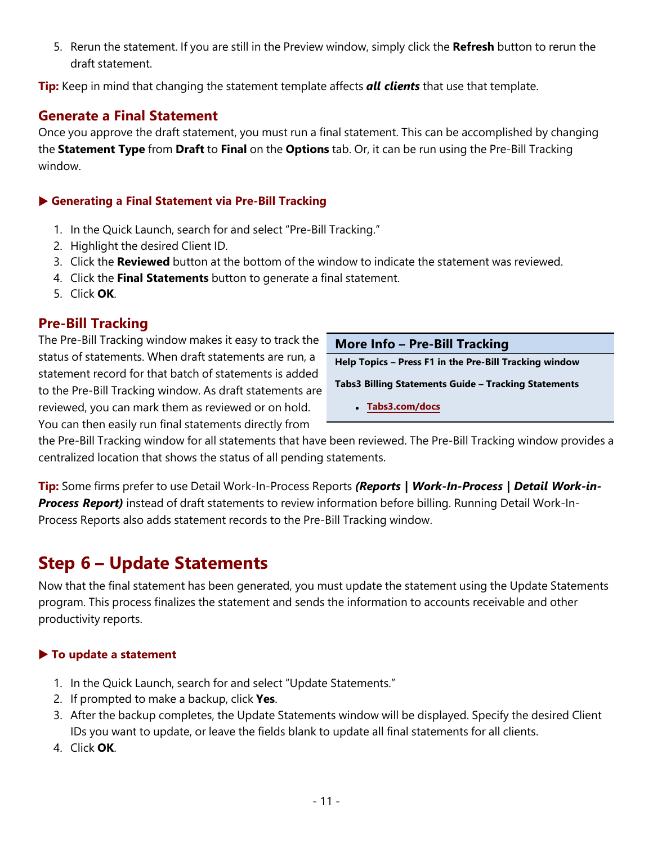5. Rerun the statement. If you are still in the Preview window, simply click the **Refresh** button to rerun the draft statement.

**Tip:** Keep in mind that changing the statement template affects *all clients* that use that template.

#### **Generate a Final Statement**

Once you approve the draft statement, you must run a final statement. This can be accomplished by changing the **Statement Type** from **Draft** to **Final** on the **Options** tab. Or, it can be run using the Pre-Bill Tracking window.

#### ▶ **Generating a Final Statement via Pre-Bill Tracking**

- 1. In the Quick Launch, search for and select "Pre-Bill Tracking."
- 2. Highlight the desired Client ID.
- 3. Click the **Reviewed** button at the bottom of the window to indicate the statement was reviewed.
- 4. Click the **Final Statements** button to generate a final statement.
- 5. Click **OK**.

#### **Pre-Bill Tracking**

The Pre-Bill Tracking window makes it easy to track the status of statements. When draft statements are run, a statement record for that batch of statements is added to the Pre-Bill Tracking window. As draft statements are reviewed, you can mark them as reviewed or on hold. You can then easily run final statements directly from

| More Info - Pre-Bill Tracking                          |
|--------------------------------------------------------|
| Help Topics - Press F1 in the Pre-Bill Tracking window |
| Tabs3 Billing Statements Guide - Tracking Statements   |
| • Tabs3.com/docs                                       |

the Pre-Bill Tracking window for all statements that have been reviewed. The Pre-Bill Tracking window provides a centralized location that shows the status of all pending statements.

**Tip:** Some firms prefer to use Detail Work-In-Process Reports *(Reports | Work-In-Process | Detail Work-in-Process Report)* instead of draft statements to review information before billing. Running Detail Work-In-Process Reports also adds statement records to the Pre-Bill Tracking window.

## <span id="page-10-0"></span>**Step 6 – Update Statements**

Now that the final statement has been generated, you must update the statement using the Update Statements program. This process finalizes the statement and sends the information to accounts receivable and other productivity reports.

#### ▶ **To update a statement**

- 1. In the Quick Launch, search for and select "Update Statements."
- 2. If prompted to make a backup, click **Yes**.
- 3. After the backup completes, the Update Statements window will be displayed. Specify the desired Client IDs you want to update, or leave the fields blank to update all final statements for all clients.
- 4. Click **OK**.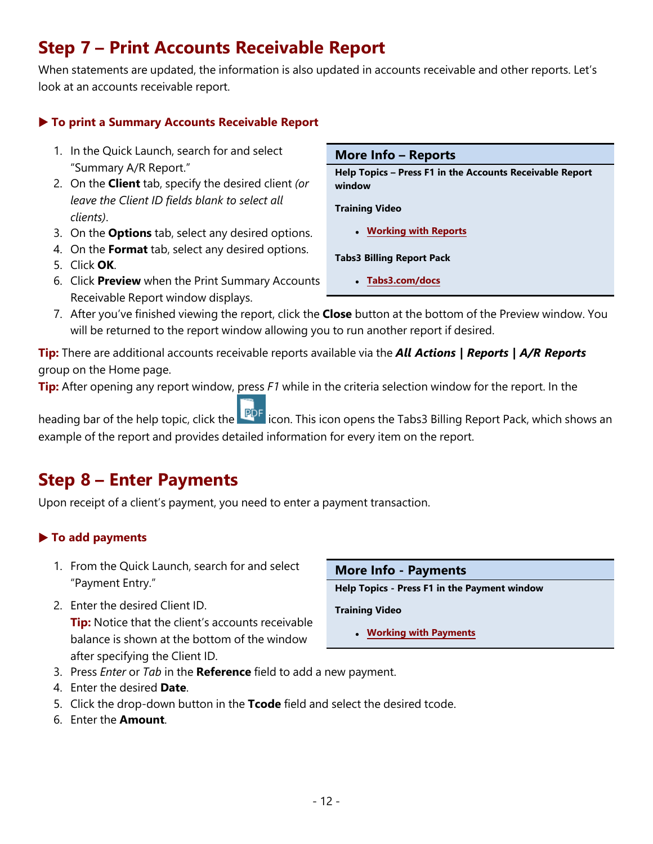## <span id="page-11-0"></span>**Step 7 – Print Accounts Receivable Report**

When statements are updated, the information is also updated in accounts receivable and other reports. Let's look at an accounts receivable report.

#### ▶ **To print a Summary Accounts Receivable Report**

- 1. In the Quick Launch, search for and select "Summary A/R Report."
- 2. On the **Client** tab, specify the desired client *(or leave the Client ID fields blank to select all clients)*.
- 3. On the **Options** tab, select any desired options.
- 4. On the **Format** tab, select any desired options.
- 5. Click **OK**.
- 6. Click **Preview** when the Print Summary Accounts Receivable Report window displays.

#### **More Info – Reports**

**Help Topics – Press F1 in the Accounts Receivable Report window**

**Training Video**

<sup>l</sup> **[Working](https://www.tabs3.com/t3rptvideo) with Reports**

**Tabs3 Billing Report Pack**

- <sup>l</sup> **[Tabs3.com/docs](https://www.tabs3.com/support/docs.html)**
- 7. After you've finished viewing the report, click the **Close** button at the bottom of the Preview window. You will be returned to the report window allowing you to run another report if desired.

**Tip:** There are additional accounts receivable reports available via the *All Actions | Reports | A/R Reports* group on the Home page.

**Tip:** After opening any report window, press *F1* while in the criteria selection window for the report. In the

heading bar of the help topic, click the **interpret icon.** This icon opens the Tabs3 Billing Report Pack, which shows an example of the report and provides detailed information for every item on the report.

## <span id="page-11-1"></span>**Step 8 – Enter Payments**

Upon receipt of a client's payment, you need to enter a payment transaction.

#### ▶ **To add payments**

- 1. From the Quick Launch, search for and select "Payment Entry."
- 2. Enter the desired Client ID. **Tip:** Notice that the client's accounts receivable balance is shown at the bottom of the window after specifying the Client ID.

| More Info - Payments |
|----------------------|
|----------------------|

**Help Topics - Press F1 in the Payment window**

**Training Video**

- <sup>l</sup> **Working with [Payments](https://www.tabs3.com/t3paymentvideo)**
- 3. Press *Enter* or *Tab* in the **Reference** field to add a new payment.
- 4. Enter the desired **Date**.
- 5. Click the drop-down button in the **Tcode** field and select the desired tcode.
- 6. Enter the **Amount**.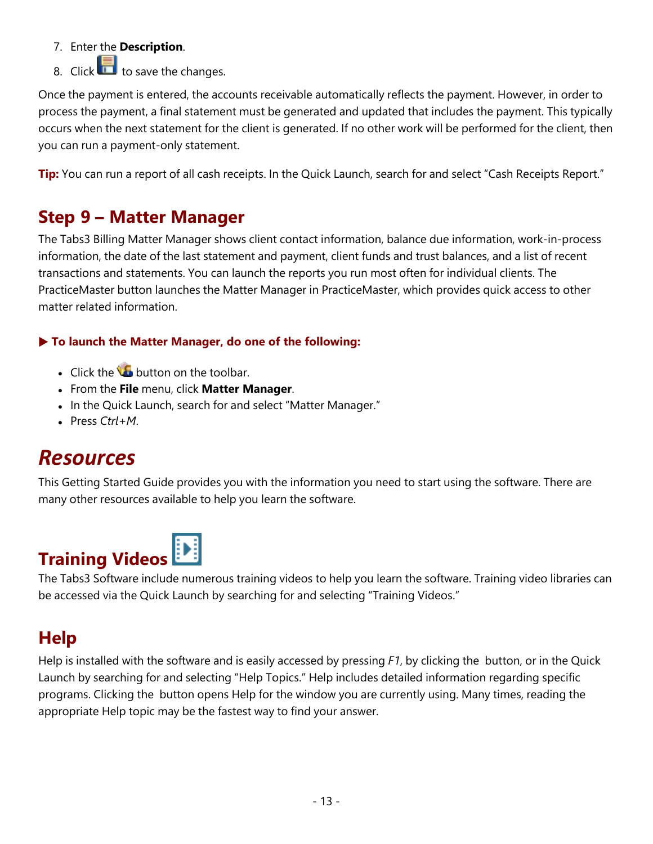- 7. Enter the **Description**.
- 8. Click  $\overline{\mathbf{B}}$  to save the changes.

Once the payment is entered, the accounts receivable automatically reflects the payment. However, in order to process the payment, a final statement must be generated and updated that includes the payment. This typically occurs when the next statement for the client is generated. If no other work will be performed for the client, then you can run a payment-only statement.

**Tip:** You can run a report of all cash receipts. In the Quick Launch, search for and select "Cash Receipts Report."

## <span id="page-12-0"></span>**Step 9 – Matter Manager**

The Tabs3 Billing Matter Manager shows client contact information, balance due information, work-in-process information, the date of the last statement and payment, client funds and trust balances, and a list of recent transactions and statements. You can launch the reports you run most often for individual clients. The PracticeMaster button launches the Matter Manager in PracticeMaster, which provides quick access to other matter related information.

#### ▶ **To launch the Matter Manager, do one of the following:**

- $\cdot$  Click the  $\bullet$  button on the toolbar.
- <sup>l</sup> From the **File** menu, click **Matter Manager**.
- In the Quick Launch, search for and select "Matter Manager."
- <span id="page-12-1"></span>• Press Ctrl+M.

## *Resources*

This Getting Started Guide provides you with the information you need to start using the software. There are many other resources available to help you learn the software.

# **Training Videos**

The Tabs3 Software include numerous training videos to help you learn the software. Training video libraries can be accessed via the Quick Launch by searching for and selecting "Training Videos."

## **Help**

Help is installed with the software and is easily accessed by pressing *F1*, by clicking the button, or in the Quick Launch by searching for and selecting "Help Topics." Help includes detailed information regarding specific programs. Clicking the button opens Help for the window you are currently using. Many times, reading the appropriate Help topic may be the fastest way to find your answer.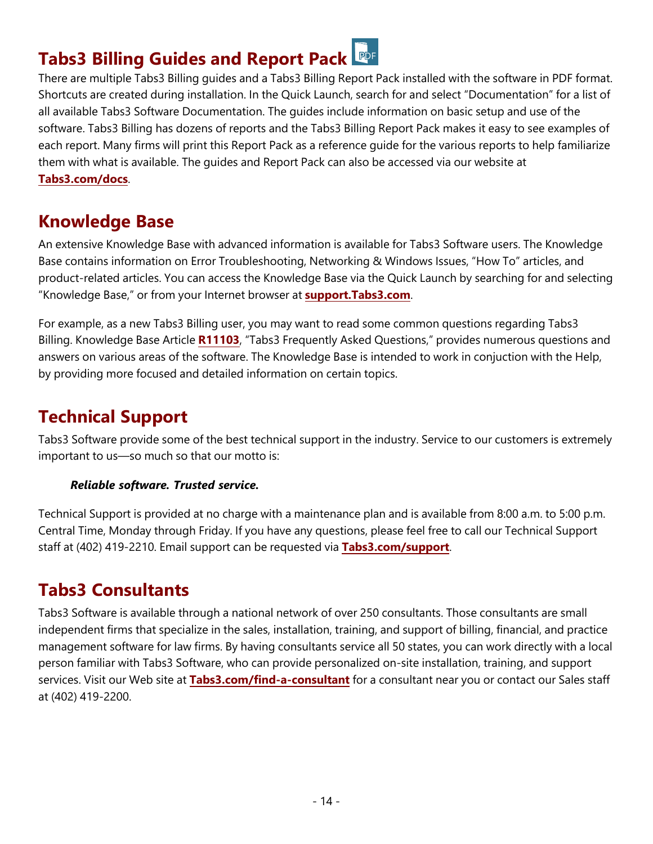## **Tabs3 Billing Guides and Report Pack**

There are multiple Tabs3 Billing guides and a Tabs3 Billing Report Pack installed with the software in PDF format. Shortcuts are created during installation. In the Quick Launch, search for and select "Documentation" for a list of all available Tabs3 Software Documentation. The guides include information on basic setup and use of the software. Tabs3 Billing has dozens of reports and the Tabs3 Billing Report Pack makes it easy to see examples of each report. Many firms will print this Report Pack as a reference guide for the various reports to help familiarize them with what is available. The guides and Report Pack can also be accessed via our website at **[Tabs3.com/docs](https://www.tabs3.com/docs)**.

### **Knowledge Base**

An extensive Knowledge Base with advanced information is available for Tabs3 Software users. The Knowledge Base contains information on Error Troubleshooting, Networking & Windows Issues, "How To" articles, and product-related articles. You can access the Knowledge Base via the Quick Launch by searching for and selecting "Knowledge Base," or from your Internet browser at **[support.Tabs3.com](https://support.tabs3.com/)**.

For example, as a new Tabs3 Billing user, you may want to read some common questions regarding Tabs3 Billing. Knowledge Base Article **[R11103](https://support.tabs3.com/main/R11103.htm)**, "Tabs3 Frequently Asked Questions," provides numerous questions and answers on various areas of the software. The Knowledge Base is intended to work in conjuction with the Help, by providing more focused and detailed information on certain topics.

## **Technical Support**

Tabs3 Software provide some of the best technical support in the industry. Service to our customers is extremely important to us—so much so that our motto is:

#### *Reliable software. Trusted service.*

Technical Support is provided at no charge with a maintenance plan and is available from 8:00 a.m. to 5:00 p.m. Central Time, Monday through Friday. If you have any questions, please feel free to call our Technical Support staff at (402) 419-2210. Email support can be requested via **[Tabs3.com/support](https://www.tabs3.com/support/support-email.html)**.

## **Tabs3 Consultants**

Tabs3 Software is available through a national network of over 250 consultants. Those consultants are small independent firms that specialize in the sales, installation, training, and support of billing, financial, and practice management software for law firms. By having consultants service all 50 states, you can work directly with a local person familiar with Tabs3 Software, who can provide personalized on-site installation, training, and support services. Visit our Web site at **[Tabs3.com/find-a-consultant](https://www.tabs3.com/find-a-consultant)** for a consultant near you or contact our Sales staff at (402) 419-2200.